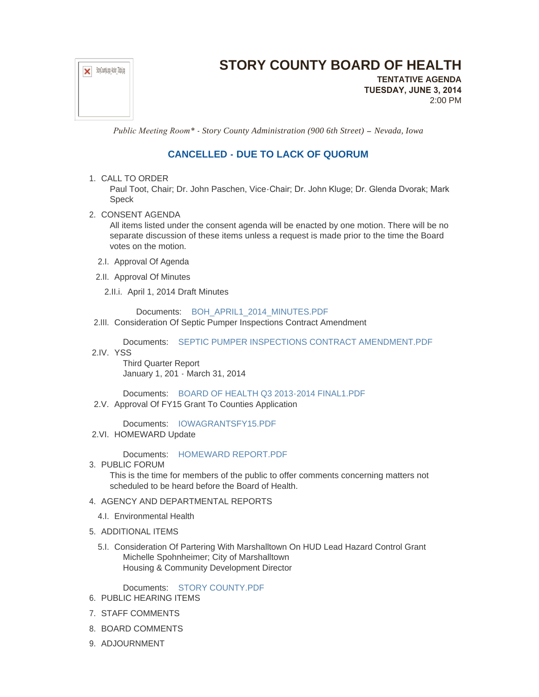

## **STORY COUNTY BOARD OF HEALTH**

**TENTATIVE AGENDA TUESDAY, JUNE 3, 2014** 2:00 PM

 *Public Meeting Room\* - Story County Administration (900 6th Street) – Nevada, Iowa*

## **CANCELLED - DUE TO LACK OF QUORUM**

## 1. CALL TO ORDER

Paul Toot, Chair; Dr. John Paschen, Vice-Chair; Dr. John Kluge; Dr. Glenda Dvorak; Mark Speck

2. CONSENT AGENDA

All items listed under the consent agenda will be enacted by one motion. There will be no separate discussion of these items unless a request is made prior to the time the Board votes on the motion.

- 2.I. Approval Of Agenda
- 2.II. Approval Of Minutes
	- 2.II.i. April 1, 2014 Draft Minutes

Documents: [BOH\\_APRIL1\\_2014\\_MINUTES.PDF](http://www.storycountyiowa.gov/AgendaCenter/ViewFile/Item/3226?fileID=2434)

2.III. Consideration Of Septic Pumper Inspections Contract Amendment

Documents: [SEPTIC PUMPER INSPECTIONS CONTRACT AMENDMENT.PDF](http://www.storycountyiowa.gov/AgendaCenter/ViewFile/Item/3113?fileID=2333) 2.IV. YSS

Third Quarter Report January 1, 201 - March 31, 2014

Documents: [BOARD OF HEALTH Q3 2013-2014 FINAL1.PDF](http://www.storycountyiowa.gov/AgendaCenter/ViewFile/Item/3248?fileID=2448) 2.V. Approval Of FY15 Grant To Counties Application

Documents: [IOWAGRANTSFY15.PDF](http://www.storycountyiowa.gov/AgendaCenter/ViewFile/Item/3266?fileID=2476) 2.VI. HOMEWARD Update

Documents: [HOMEWARD REPORT.PDF](http://www.storycountyiowa.gov/AgendaCenter/ViewFile/Item/3271?fileID=2481)

3. PUBLIC FORUM

This is the time for members of the public to offer comments concerning matters not scheduled to be heard before the Board of Health.

- 4. AGENCY AND DEPARTMENTAL REPORTS
	- 4.I. Environmental Health
- 5. ADDITIONAL ITEMS
	- 5.I. Consideration Of Partering With Marshalltown On HUD Lead Hazard Control Grant Michelle Spohnheimer; City of Marshalltown Housing & Community Development Director

Documents: [STORY COUNTY.PDF](http://www.storycountyiowa.gov/AgendaCenter/ViewFile/Item/3269?fileID=2480)

- 6. PUBLIC HEARING ITEMS
- 7. STAFF COMMENTS
- 8. BOARD COMMENTS
- 9. ADJOURNMENT